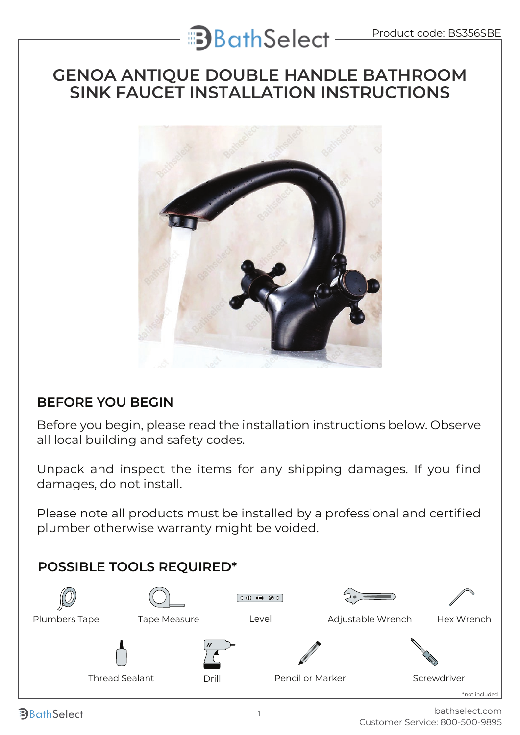# **B**BathSelect-

### **GENOA ANTIQUE DOUBLE HANDLE BATHROOM SINK FAUCET INSTALLATION INSTRUCTIONS**



### **BEFORE YOU BEGIN**

Before you begin, please read the installation instructions below. Observe all local building and safety codes.

Unpack and inspect the items for any shipping damages. If you find damages, do not install.

Please note all products must be installed by a professional and certified plumber otherwise warranty might be voided.



**B**BathSelect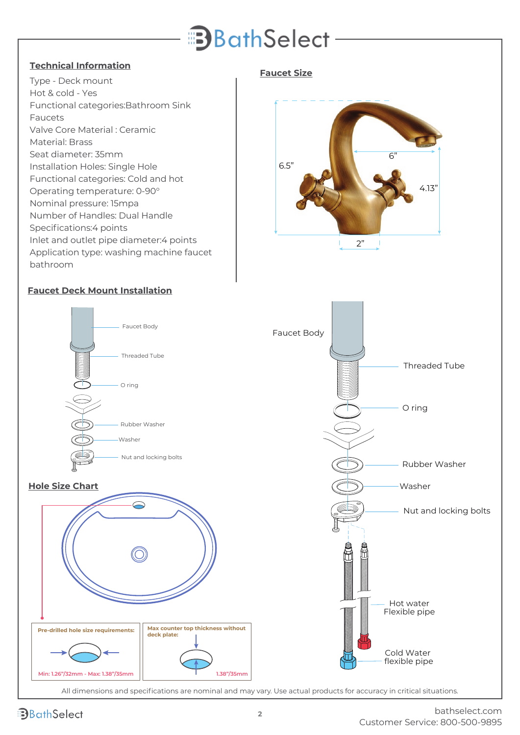## **B**athSelect-

#### **Technical Information**

Type - Deck mount Hot & cold - Yes Functional categories:Bathroom Sink Faucets Valve Core Material : Ceramic Material: Brass Seat diameter: 35mm Installation Holes: Single Hole Functional categories: Cold and hot Operating temperature: 0-90° Nominal pressure: 15mpa Number of Handles: Dual Handle Specifications:4 points Inlet and outlet pipe diameter:4 points Application type: washing machine faucet bathroom

#### **Faucet Size**



#### **Faucet Deck Mount Installation**

Threaded Tube

O ring

Faucet Body

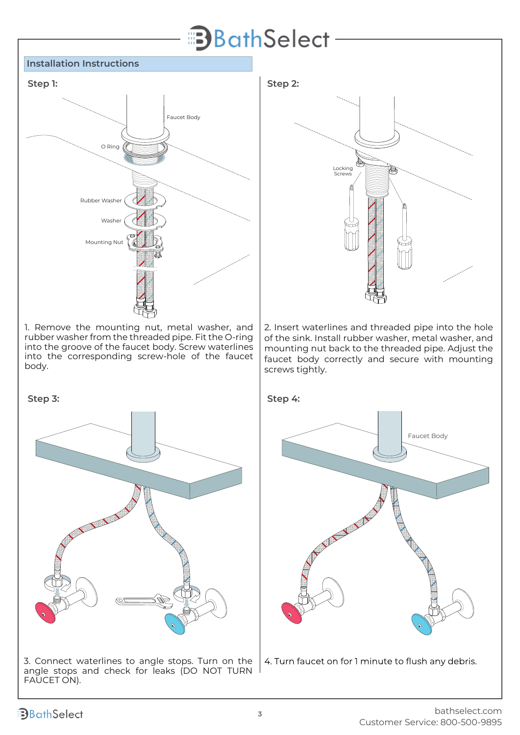## **B**BathSelect

#### **Installation Instructions**



1. Remove the mounting nut, metal washer, and rubber washer from the threaded pipe. Fit the O-ring into the groove of the faucet body. Screw waterlines into the corresponding screw-hole of the faucet body.



3. Connect waterlines to angle stops. Turn on the angle stops and check for leaks (DO NOT TURN FAUCET ON).



2. Insert waterlines and threaded pipe into the hole of the sink. Install rubber washer, metal washer, and mounting nut back to the threaded pipe. Adjust the faucet body correctly and secure with mounting screws tightly.



4. Turn faucet on for 1 minute to flush any debris.